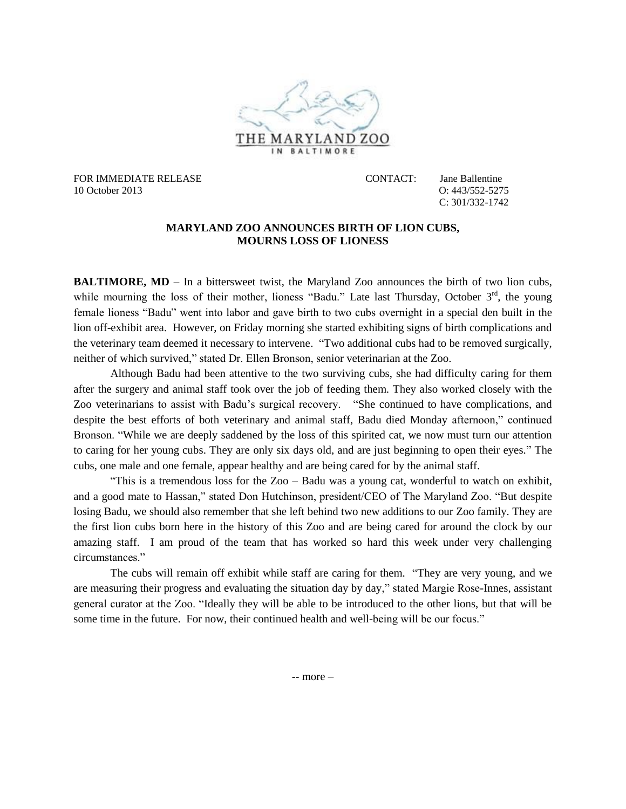

FOR IMMEDIATE RELEASE CONTACT: Jane Ballentine 10 October 2013 O: 443/552-5275

C: 301/332-1742

## **MARYLAND ZOO ANNOUNCES BIRTH OF LION CUBS, MOURNS LOSS OF LIONESS**

**BALTIMORE, MD** – In a bittersweet twist, the Maryland Zoo announces the birth of two lion cubs, while mourning the loss of their mother, lioness "Badu." Late last Thursday, October 3<sup>rd</sup>, the young female lioness "Badu" went into labor and gave birth to two cubs overnight in a special den built in the lion off-exhibit area. However, on Friday morning she started exhibiting signs of birth complications and the veterinary team deemed it necessary to intervene. "Two additional cubs had to be removed surgically, neither of which survived," stated Dr. Ellen Bronson, senior veterinarian at the Zoo.

Although Badu had been attentive to the two surviving cubs, she had difficulty caring for them after the surgery and animal staff took over the job of feeding them. They also worked closely with the Zoo veterinarians to assist with Badu's surgical recovery. "She continued to have complications, and despite the best efforts of both veterinary and animal staff, Badu died Monday afternoon," continued Bronson. "While we are deeply saddened by the loss of this spirited cat, we now must turn our attention to caring for her young cubs. They are only six days old, and are just beginning to open their eyes." The cubs, one male and one female, appear healthy and are being cared for by the animal staff.

"This is a tremendous loss for the Zoo – Badu was a young cat, wonderful to watch on exhibit, and a good mate to Hassan," stated Don Hutchinson, president/CEO of The Maryland Zoo. "But despite losing Badu, we should also remember that she left behind two new additions to our Zoo family. They are the first lion cubs born here in the history of this Zoo and are being cared for around the clock by our amazing staff. I am proud of the team that has worked so hard this week under very challenging circumstances."

The cubs will remain off exhibit while staff are caring for them. "They are very young, and we are measuring their progress and evaluating the situation day by day," stated Margie Rose-Innes, assistant general curator at the Zoo. "Ideally they will be able to be introduced to the other lions, but that will be some time in the future. For now, their continued health and well-being will be our focus."

-- more –